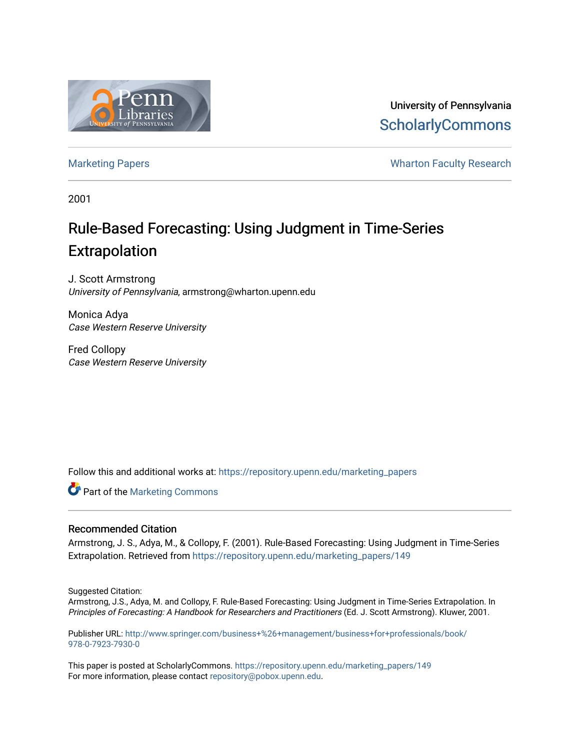

University of Pennsylvania **ScholarlyCommons** 

[Marketing Papers](https://repository.upenn.edu/marketing_papers) **Marketing Papers Marketing Papers Wharton Faculty Research** 

2001

# Rule-Based Forecasting: Using Judgment in Time-Series Extrapolation

J. Scott Armstrong University of Pennsylvania, armstrong@wharton.upenn.edu

Monica Adya Case Western Reserve University

Fred Collopy Case Western Reserve University

Follow this and additional works at: [https://repository.upenn.edu/marketing\\_papers](https://repository.upenn.edu/marketing_papers?utm_source=repository.upenn.edu%2Fmarketing_papers%2F149&utm_medium=PDF&utm_campaign=PDFCoverPages)

Part of the [Marketing Commons](http://network.bepress.com/hgg/discipline/638?utm_source=repository.upenn.edu%2Fmarketing_papers%2F149&utm_medium=PDF&utm_campaign=PDFCoverPages)

## Recommended Citation

Armstrong, J. S., Adya, M., & Collopy, F. (2001). Rule-Based Forecasting: Using Judgment in Time-Series Extrapolation. Retrieved from [https://repository.upenn.edu/marketing\\_papers/149](https://repository.upenn.edu/marketing_papers/149?utm_source=repository.upenn.edu%2Fmarketing_papers%2F149&utm_medium=PDF&utm_campaign=PDFCoverPages) 

Suggested Citation:

Armstrong, J.S., Adya, M. and Collopy, F. Rule-Based Forecasting: Using Judgment in Time-Series Extrapolation. In Principles of Forecasting: A Handbook for Researchers and Practitioners (Ed. J. Scott Armstrong). Kluwer, 2001.

Publisher URL: [http://www.springer.com/business+%26+management/business+for+professionals/book/](http://www.springer.com/business+%26+management/business+for+professionals/book/978-0-7923-7930-0) [978-0-7923-7930-0](http://www.springer.com/business+%26+management/business+for+professionals/book/978-0-7923-7930-0) 

This paper is posted at ScholarlyCommons. [https://repository.upenn.edu/marketing\\_papers/149](https://repository.upenn.edu/marketing_papers/149)  For more information, please contact [repository@pobox.upenn.edu.](mailto:repository@pobox.upenn.edu)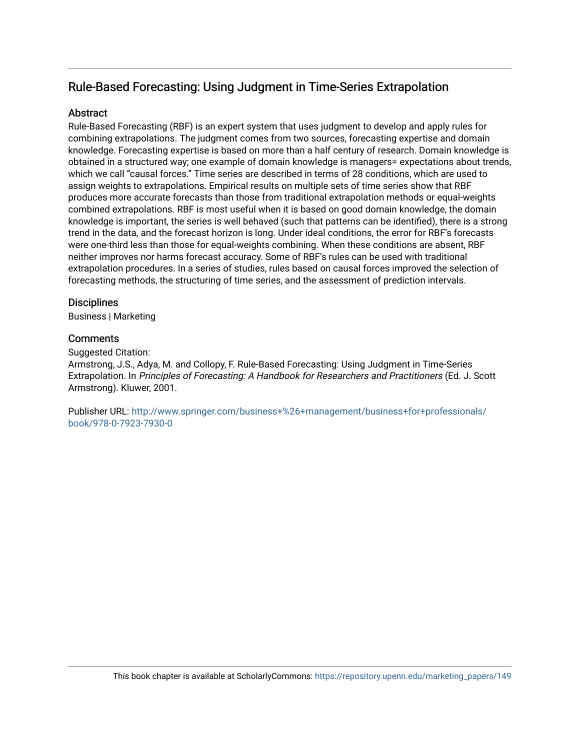## Rule-Based Forecasting: Using Judgment in Time-Series Extrapolation

## **Abstract**

Rule-Based Forecasting (RBF) is an expert system that uses judgment to develop and apply rules for combining extrapolations. The judgment comes from two sources, forecasting expertise and domain knowledge. Forecasting expertise is based on more than a half century of research. Domain knowledge is obtained in a structured way; one example of domain knowledge is managers= expectations about trends, which we call "causal forces." Time series are described in terms of 28 conditions, which are used to assign weights to extrapolations. Empirical results on multiple sets of time series show that RBF produces more accurate forecasts than those from traditional extrapolation methods or equal-weights combined extrapolations. RBF is most useful when it is based on good domain knowledge, the domain knowledge is important, the series is well behaved (such that patterns can be identified), there is a strong trend in the data, and the forecast horizon is long. Under ideal conditions, the error for RBF's forecasts were one-third less than those for equal-weights combining. When these conditions are absent, RBF neither improves nor harms forecast accuracy. Some of RBF's rules can be used with traditional extrapolation procedures. In a series of studies, rules based on causal forces improved the selection of forecasting methods, the structuring of time series, and the assessment of prediction intervals.

## **Disciplines**

Business | Marketing

## **Comments**

Suggested Citation:

Armstrong, J.S., Adya, M. and Collopy, F. Rule-Based Forecasting: Using Judgment in Time-Series Extrapolation. In Principles of Forecasting: A Handbook for Researchers and Practitioners (Ed. J. Scott Armstrong). Kluwer, 2001.

Publisher URL: [http://www.springer.com/business+%26+management/business+for+professionals/](http://www.springer.com/business+%26+management/business+for+professionals/book/978-0-7923-7930-0) [book/978-0-7923-7930-0](http://www.springer.com/business+%26+management/business+for+professionals/book/978-0-7923-7930-0)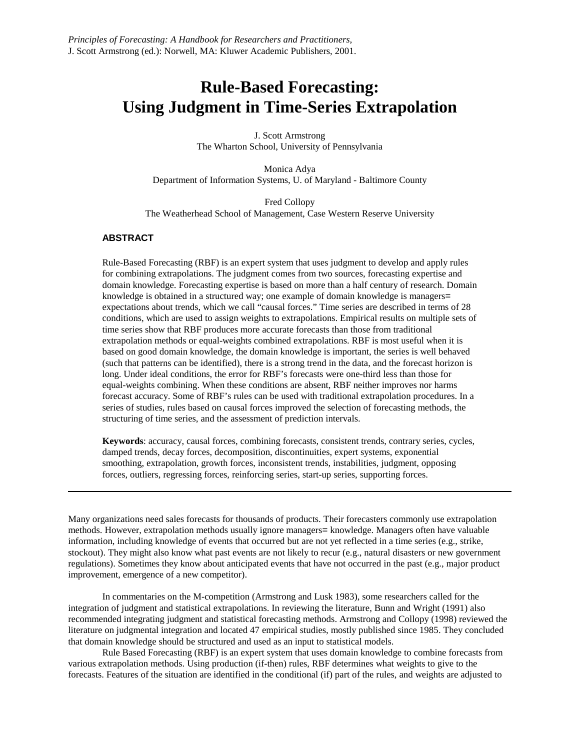## **Rule-Based Forecasting: Using Judgment in Time-Series Extrapolation**

J. Scott Armstrong The Wharton School, University of Pennsylvania

Monica Adya Department of Information Systems, U. of Maryland - Baltimore County

Fred Collopy The Weatherhead School of Management, Case Western Reserve University

## **ABSTRACT**

Rule-Based Forecasting (RBF) is an expert system that uses judgment to develop and apply rules for combining extrapolations. The judgment comes from two sources, forecasting expertise and domain knowledge. Forecasting expertise is based on more than a half century of research. Domain knowledge is obtained in a structured way; one example of domain knowledge is managers= expectations about trends, which we call "causal forces." Time series are described in terms of 28 conditions, which are used to assign weights to extrapolations. Empirical results on multiple sets of time series show that RBF produces more accurate forecasts than those from traditional extrapolation methods or equal-weights combined extrapolations. RBF is most useful when it is based on good domain knowledge, the domain knowledge is important, the series is well behaved (such that patterns can be identified), there is a strong trend in the data, and the forecast horizon is long. Under ideal conditions, the error for RBF's forecasts were one-third less than those for equal-weights combining. When these conditions are absent, RBF neither improves nor harms forecast accuracy. Some of RBF's rules can be used with traditional extrapolation procedures. In a series of studies, rules based on causal forces improved the selection of forecasting methods, the structuring of time series, and the assessment of prediction intervals.

**Keywords**: accuracy, causal forces, combining forecasts, consistent trends, contrary series, cycles, damped trends, decay forces, decomposition, discontinuities, expert systems, exponential smoothing, extrapolation, growth forces, inconsistent trends, instabilities, judgment, opposing forces, outliers, regressing forces, reinforcing series, start-up series, supporting forces.

Many organizations need sales forecasts for thousands of products. Their forecasters commonly use extrapolation methods. However, extrapolation methods usually ignore managers= knowledge. Managers often have valuable information, including knowledge of events that occurred but are not yet reflected in a time series (e.g., strike, stockout). They might also know what past events are not likely to recur (e.g., natural disasters or new government regulations). Sometimes they know about anticipated events that have not occurred in the past (e.g., major product improvement, emergence of a new competitor).

In commentaries on the M-competition (Armstrong and Lusk 1983), some researchers called for the integration of judgment and statistical extrapolations. In reviewing the literature, Bunn and Wright (1991) also recommended integrating judgment and statistical forecasting methods. Armstrong and Collopy (1998) reviewed the literature on judgmental integration and located 47 empirical studies, mostly published since 1985. They concluded that domain knowledge should be structured and used as an input to statistical models.

Rule Based Forecasting (RBF) is an expert system that uses domain knowledge to combine forecasts from various extrapolation methods. Using production (if-then) rules, RBF determines what weights to give to the forecasts. Features of the situation are identified in the conditional (if) part of the rules, and weights are adjusted to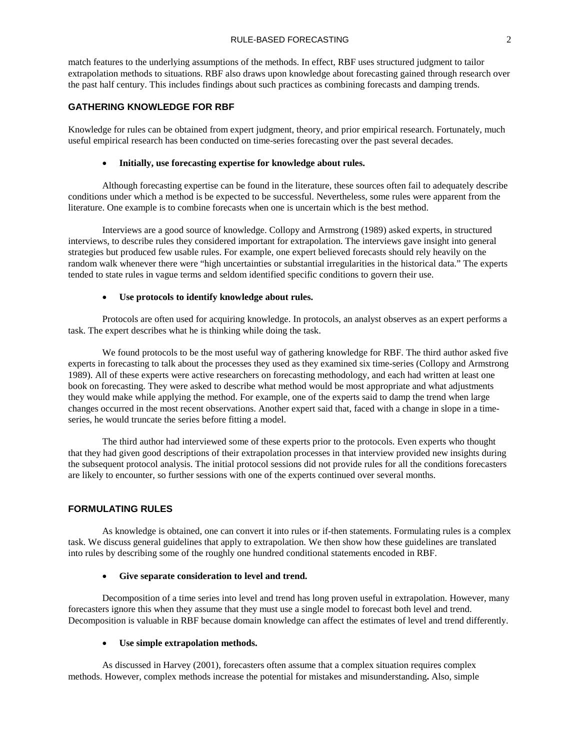match features to the underlying assumptions of the methods. In effect, RBF uses structured judgment to tailor extrapolation methods to situations. RBF also draws upon knowledge about forecasting gained through research over the past half century. This includes findings about such practices as combining forecasts and damping trends.

## **GATHERING KNOWLEDGE FOR RBF**

Knowledge for rules can be obtained from expert judgment, theory, and prior empirical research. Fortunately, much useful empirical research has been conducted on time-series forecasting over the past several decades.

## • **Initially, use forecasting expertise for knowledge about rules.**

Although forecasting expertise can be found in the literature, these sources often fail to adequately describe conditions under which a method is be expected to be successful. Nevertheless, some rules were apparent from the literature. One example is to combine forecasts when one is uncertain which is the best method.

Interviews are a good source of knowledge. Collopy and Armstrong (1989) asked experts, in structured interviews, to describe rules they considered important for extrapolation. The interviews gave insight into general strategies but produced few usable rules. For example, one expert believed forecasts should rely heavily on the random walk whenever there were "high uncertainties or substantial irregularities in the historical data." The experts tended to state rules in vague terms and seldom identified specific conditions to govern their use.

## Use protocols to identify knowledge about rules.

Protocols are often used for acquiring knowledge. In protocols, an analyst observes as an expert performs a task. The expert describes what he is thinking while doing the task.

We found protocols to be the most useful way of gathering knowledge for RBF. The third author asked five experts in forecasting to talk about the processes they used as they examined six time-series (Collopy and Armstrong 1989). All of these experts were active researchers on forecasting methodology, and each had written at least one book on forecasting. They were asked to describe what method would be most appropriate and what adjustments they would make while applying the method. For example, one of the experts said to damp the trend when large changes occurred in the most recent observations. Another expert said that, faced with a change in slope in a timeseries, he would truncate the series before fitting a model.

The third author had interviewed some of these experts prior to the protocols. Even experts who thought that they had given good descriptions of their extrapolation processes in that interview provided new insights during the subsequent protocol analysis. The initial protocol sessions did not provide rules for all the conditions forecasters are likely to encounter, so further sessions with one of the experts continued over several months.

## **FORMULATING RULES**

As knowledge is obtained, one can convert it into rules or if-then statements. Formulating rules is a complex task. We discuss general guidelines that apply to extrapolation. We then show how these guidelines are translated into rules by describing some of the roughly one hundred conditional statements encoded in RBF.

## • **Give separate consideration to level and trend.**

Decomposition of a time series into level and trend has long proven useful in extrapolation. However, many forecasters ignore this when they assume that they must use a single model to forecast both level and trend. Decomposition is valuable in RBF because domain knowledge can affect the estimates of level and trend differently.

#### • **Use simple extrapolation methods.**

As discussed in Harvey (2001), forecasters often assume that a complex situation requires complex methods. However, complex methods increase the potential for mistakes and misunderstanding**.** Also, simple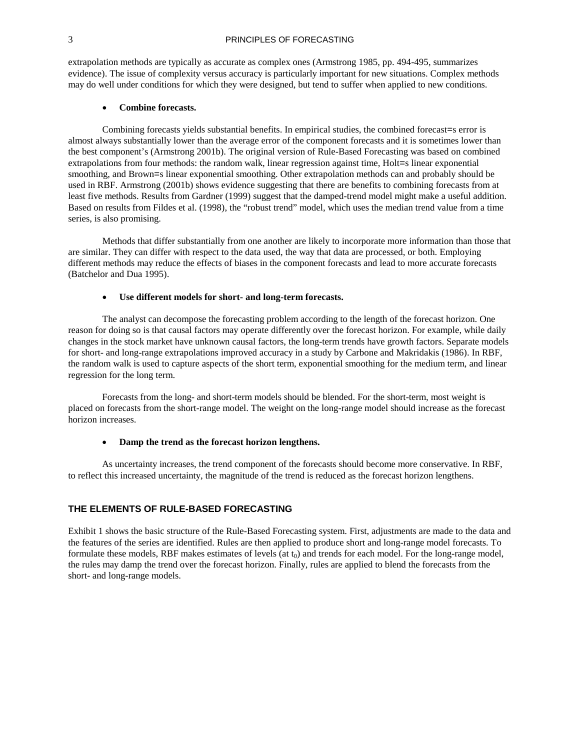extrapolation methods are typically as accurate as complex ones (Armstrong 1985, pp. 494-495, summarizes evidence). The issue of complexity versus accuracy is particularly important for new situations. Complex methods may do well under conditions for which they were designed, but tend to suffer when applied to new conditions.

## • **Combine forecasts.**

Combining forecasts yields substantial benefits. In empirical studies, the combined forecast=s error is almost always substantially lower than the average error of the component forecasts and it is sometimes lower than the best component's (Armstrong 2001b). The original version of Rule-Based Forecasting was based on combined extrapolations from four methods: the random walk, linear regression against time, Holt=s linear exponential smoothing, and Brown=s linear exponential smoothing. Other extrapolation methods can and probably should be used in RBF. Armstrong (2001b) shows evidence suggesting that there are benefits to combining forecasts from at least five methods. Results from Gardner (1999) suggest that the damped-trend model might make a useful addition. Based on results from Fildes et al. (1998), the "robust trend" model, which uses the median trend value from a time series, is also promising.

Methods that differ substantially from one another are likely to incorporate more information than those that are similar. They can differ with respect to the data used, the way that data are processed, or both. Employing different methods may reduce the effects of biases in the component forecasts and lead to more accurate forecasts (Batchelor and Dua 1995).

## • **Use different models for short- and long-term forecasts.**

The analyst can decompose the forecasting problem according to the length of the forecast horizon. One reason for doing so is that causal factors may operate differently over the forecast horizon. For example, while daily changes in the stock market have unknown causal factors, the long-term trends have growth factors. Separate models for short- and long-range extrapolations improved accuracy in a study by Carbone and Makridakis (1986). In RBF, the random walk is used to capture aspects of the short term, exponential smoothing for the medium term, and linear regression for the long term.

Forecasts from the long- and short-term models should be blended. For the short-term, most weight is placed on forecasts from the short-range model. The weight on the long-range model should increase as the forecast horizon increases.

## • **Damp the trend as the forecast horizon lengthens.**

As uncertainty increases, the trend component of the forecasts should become more conservative. In RBF, to reflect this increased uncertainty, the magnitude of the trend is reduced as the forecast horizon lengthens.

## **THE ELEMENTS OF RULE-BASED FORECASTING**

Exhibit 1 shows the basic structure of the Rule-Based Forecasting system. First, adjustments are made to the data and the features of the series are identified. Rules are then applied to produce short and long-range model forecasts. To formulate these models, RBF makes estimates of levels (at  $t_0$ ) and trends for each model. For the long-range model, the rules may damp the trend over the forecast horizon. Finally, rules are applied to blend the forecasts from the short- and long-range models.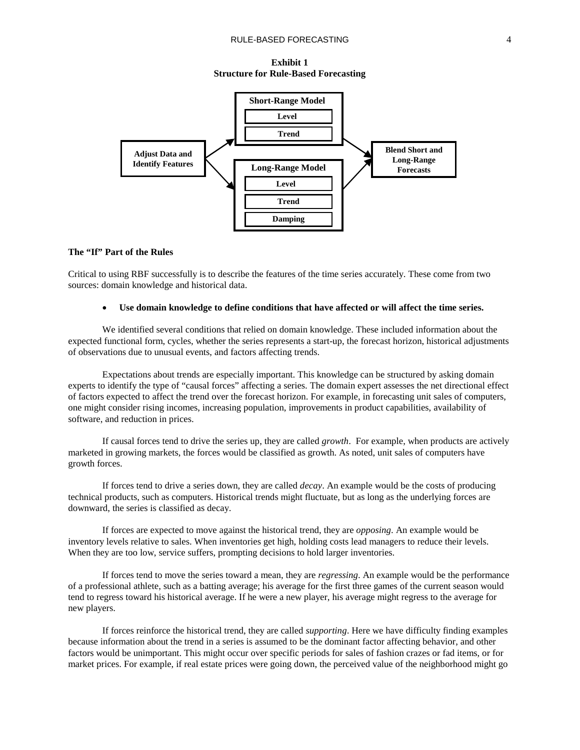**Exhibit 1 Structure for Rule-Based Forecasting**



## **The "If" Part of the Rules**

Critical to using RBF successfully is to describe the features of the time series accurately. These come from two sources: domain knowledge and historical data.

## • **Use domain knowledge to define conditions that have affected or will affect the time series.**

We identified several conditions that relied on domain knowledge. These included information about the expected functional form, cycles, whether the series represents a start-up, the forecast horizon, historical adjustments of observations due to unusual events, and factors affecting trends.

Expectations about trends are especially important. This knowledge can be structured by asking domain experts to identify the type of "causal forces" affecting a series. The domain expert assesses the net directional effect of factors expected to affect the trend over the forecast horizon. For example, in forecasting unit sales of computers, one might consider rising incomes, increasing population, improvements in product capabilities, availability of software, and reduction in prices.

If causal forces tend to drive the series up, they are called *growth*. For example, when products are actively marketed in growing markets, the forces would be classified as growth. As noted, unit sales of computers have growth forces.

If forces tend to drive a series down, they are called *decay*. An example would be the costs of producing technical products, such as computers. Historical trends might fluctuate, but as long as the underlying forces are downward, the series is classified as decay.

If forces are expected to move against the historical trend, they are *opposing*. An example would be inventory levels relative to sales. When inventories get high, holding costs lead managers to reduce their levels. When they are too low, service suffers, prompting decisions to hold larger inventories.

If forces tend to move the series toward a mean, they are *regressing*. An example would be the performance of a professional athlete, such as a batting average; his average for the first three games of the current season would tend to regress toward his historical average. If he were a new player, his average might regress to the average for new players.

If forces reinforce the historical trend, they are called *supporting*. Here we have difficulty finding examples because information about the trend in a series is assumed to be the dominant factor affecting behavior, and other factors would be unimportant. This might occur over specific periods for sales of fashion crazes or fad items, or for market prices. For example, if real estate prices were going down, the perceived value of the neighborhood might go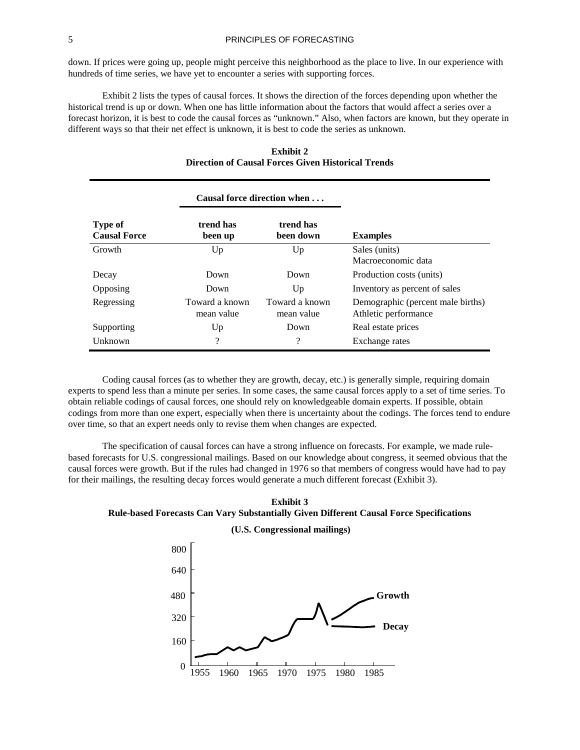down. If prices were going up, people might perceive this neighborhood as the place to live. In our experience with hundreds of time series, we have yet to encounter a series with supporting forces.

Exhibit 2 lists the types of causal forces. It shows the direction of the forces depending upon whether the historical trend is up or down. When one has little information about the factors that would affect a series over a forecast horizon, it is best to code the causal forces as "unknown." Also, when factors are known, but they operate in different ways so that their net effect is unknown, it is best to code the series as unknown.

|                                |                              | Causal force direction when  |                                                           |
|--------------------------------|------------------------------|------------------------------|-----------------------------------------------------------|
| Type of<br><b>Causal Force</b> | trend has<br>been up         | trend has<br>been down       | <b>Examples</b>                                           |
| Growth                         | Up                           | Up                           | Sales (units)<br>Macroeconomic data                       |
| Decay                          | Down                         | Down                         | Production costs (units)                                  |
| Opposing                       | Down                         | Up                           | Inventory as percent of sales                             |
| Regressing                     | Toward a known<br>mean value | Toward a known<br>mean value | Demographic (percent male births)<br>Athletic performance |
| Supporting                     | Up                           | Down                         | Real estate prices                                        |
| Unknown                        | ?                            | 9                            | Exchange rates                                            |

**Exhibit 2 Direction of Causal Forces Given Historical Trends**

Coding causal forces (as to whether they are growth, decay, etc.) is generally simple, requiring domain experts to spend less than a minute per series. In some cases, the same causal forces apply to a set of time series. To obtain reliable codings of causal forces, one should rely on knowledgeable domain experts. If possible, obtain codings from more than one expert, especially when there is uncertainty about the codings. The forces tend to endure over time, so that an expert needs only to revise them when changes are expected.

The specification of causal forces can have a strong influence on forecasts. For example, we made rule based forecasts for U.S. congressional mailings. Based on our knowledge about congress, it seemed obvious that the causal forces were growth. But if the rules had changed in 1976 so that members of congress would have had to pay for their mailings, the resulting decay forces would generate a much different forecast (Exhibit 3).

**Exhibit 3 Rule-based Forecasts Can Vary Substantially Given Different Causal Force Specifications**



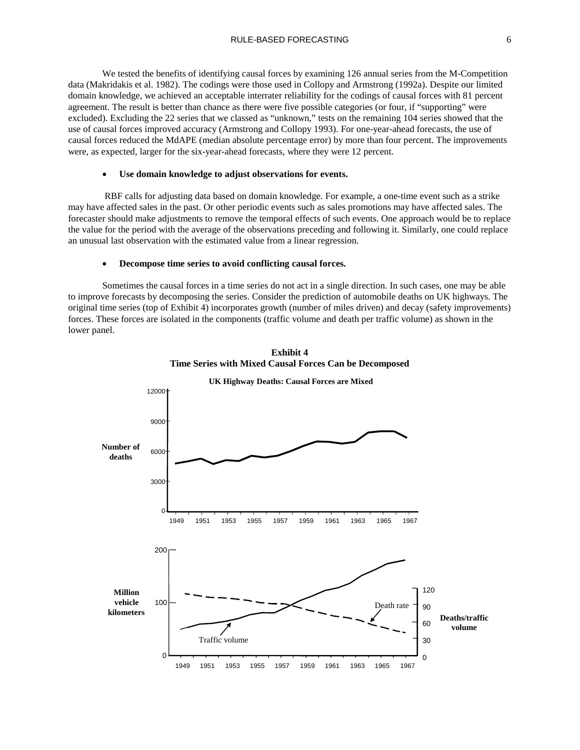We tested the benefits of identifying causal forces by examining 126 annual series from the M-Competition data (Makridakis et al. 1982). The codings were those used in Collopy and Armstrong (1992a). Despite our limited domain knowledge, we achieved an acceptable interrater reliability for the codings of causal forces with 81 percent agreement. The result is better than chance as there were five possible categories (or four, if "supporting" were excluded). Excluding the 22 series that we classed as "unknown," tests on the remaining 104 series showed that the use of causal forces improved accuracy (Armstrong and Collopy 1993). For one-year-ahead forecasts, the use of causal forces reduced the MdAPE (median absolute percentage error) by more than four percent. The improvements were, as expected, larger for the six-year-ahead forecasts, where they were 12 percent.

## • **Use domain knowledge to adjust observations for events.**

RBF calls for adjusting data based on domain knowledge. For example, a one-time event such as a strike may have affected sales in the past. Or other periodic events such as sales promotions may have affected sales. The forecaster should make adjustments to remove the temporal effects of such events. One approach would be to replace the value for the period with the average of the observations preceding and following it. Similarly, one could replace an unusual last observation with the estimated value from a linear regression.

## • **Decompose time series to avoid conflicting causal forces.**

Sometimes the causal forces in a time series do not act in a single direction. In such cases, one may be able to improve forecasts by decomposing the series. Consider the prediction of automobile deaths on UK highways. The original time series (top of Exhibit 4) incorporates growth (number of miles driven) and decay (safety improvements) forces. These forces are isolated in the components (traffic volume and death per traffic volume) as shown in the lower panel.



**Exhibit 4 Time Series with Mixed Causal Forces Can be Decomposed**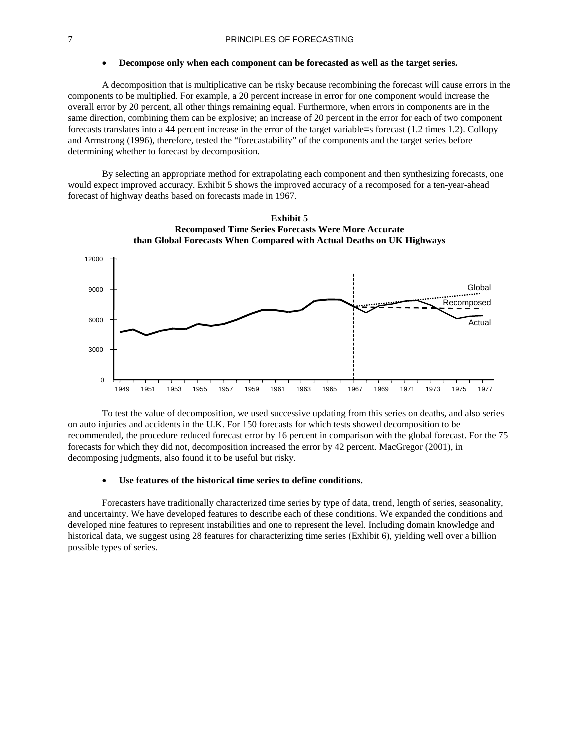## • **Decompose only when each component can be forecasted as well as the target series.**

A decomposition that is multiplicative can be risky because recombining the forecast will cause errors in the components to be multiplied. For example, a 20 percent increase in error for one component would increase the overall error by 20 percent, all other things remaining equal. Furthermore, when errors in components are in the same direction, combining them can be explosive; an increase of 20 percent in the error for each of two component forecasts translates into a 44 percent increase in the error of the target variable=s forecast (1.2 times 1.2). Collopy and Armstrong (1996), therefore, tested the "forecastability" of the components and the target series before determining whether to forecast by decomposition.

By selecting an appropriate method for extrapolating each component and then synthesizing forecasts, one would expect improved accuracy. Exhibit 5 shows the improved accuracy of a recomposed for a ten-year-ahead forecast of highway deaths based on forecasts made in 1967.



**Exhibit 5 Recomposed Time Series Forecasts Were More Accurate** 

To test the value of decomposition, we used successive updating from this series on deaths, and also series on auto injuries and accidents in the U.K. For 150 forecasts for which tests showed decomposition to be recommended, the procedure reduced forecast error by 16 percent in comparison with the global forecast. For the 75 forecasts for which they did not, decomposition increased the error by 42 percent. MacGregor (2001), in decomposing judgments, also found it to be useful but risky.

## • **Use features of the historical time series to define conditions.**

Forecasters have traditionally characterized time series by type of data, trend, length of series, seasonality, and uncertainty. We have developed features to describe each of these conditions. We expanded the conditions and developed nine features to represent instabilities and one to represent the level. Including domain knowledge and historical data, we suggest using 28 features for characterizing time series (Exhibit 6), yielding well over a billion possible types of series.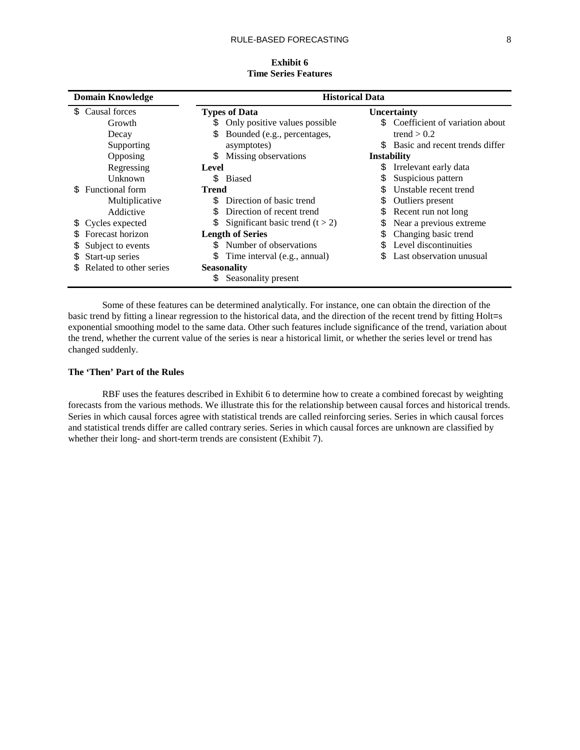#### RULE-BASED FORECASTING 8

| <b>Domain Knowledge</b>      | <b>Historical Data</b>                  |                                      |  |  |  |  |
|------------------------------|-----------------------------------------|--------------------------------------|--|--|--|--|
| \$ Causal forces             | <b>Types of Data</b>                    | <b>Uncertainty</b>                   |  |  |  |  |
| Growth                       | Only positive values possible<br>\$     | Coefficient of variation about<br>Ŝ. |  |  |  |  |
| Decay                        | Bounded (e.g., percentages,<br>\$       | trend $> 0.2$                        |  |  |  |  |
| Supporting                   | asymptotes)                             | Basic and recent trends differ<br>Ŝ. |  |  |  |  |
| Opposing                     | Missing observations<br>Ŝ.              | <b>Instability</b>                   |  |  |  |  |
| Regressing                   | Level                                   | Irrelevant early data<br>S.          |  |  |  |  |
| Unknown                      | <b>Biased</b><br>Ŝ.                     | Suspicious pattern<br>S              |  |  |  |  |
| <b>Functional form</b><br>Ŝ. | <b>Trend</b>                            | Unstable recent trend                |  |  |  |  |
| Multiplicative               | Direction of basic trend<br>Ś.          | Outliers present<br>s                |  |  |  |  |
| Addictive                    | Direction of recent trend<br>S          | Recent run not long<br>\$            |  |  |  |  |
| \$ Cycles expected           | Significant basic trend $(t > 2)$<br>\$ | Near a previous extreme<br>\$        |  |  |  |  |
| Forecast horizon<br>S        | <b>Length of Series</b>                 | Changing basic trend<br>S            |  |  |  |  |
| Subject to events<br>S       | Number of observations<br>Ŝ.            | Level discontinuities<br>Ŝ.          |  |  |  |  |
| Start-up series              | Time interval (e.g., annual)<br>\$      | Last observation unusual             |  |  |  |  |
| Related to other series      | <b>Seasonality</b>                      |                                      |  |  |  |  |
|                              | Seasonality present<br>Ŝ.               |                                      |  |  |  |  |

## **Exhibit 6 Time Series Features**

Some of these features can be determined analytically. For instance, one can obtain the direction of the basic trend by fitting a linear regression to the historical data, and the direction of the recent trend by fitting Holt=s exponential smoothing model to the same data. Other such features include significance of the trend, variation about the trend, whether the current value of the series is near a historical limit, or whether the series level or trend has changed suddenly.

## **The 'Then' Part of the Rules**

RBF uses the features described in Exhibit 6 to determine how to create a combined forecast by weighting forecasts from the various methods. We illustrate this for the relationship between causal forces and historical trends. Series in which causal forces agree with statistical trends are called reinforcing series. Series in which causal forces and statistical trends differ are called contrary series. Series in which causal forces are unknown are classified by whether their long- and short-term trends are consistent (Exhibit 7).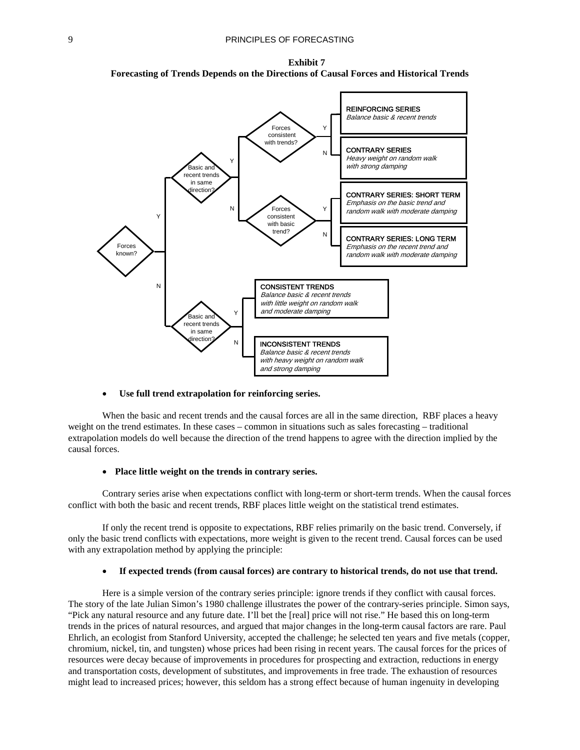



#### • **Use full trend extrapolation for reinforcing series.**

When the basic and recent trends and the causal forces are all in the same direction, RBF places a heavy weight on the trend estimates. In these cases – common in situations such as sales forecasting – traditional extrapolation models do well because the direction of the trend happens to agree with the direction implied by the causal forces.

### • **Place little weight on the trends in contrary series.**

Contrary series arise when expectations conflict with long-term or short-term trends. When the causal forces conflict with both the basic and recent trends, RBF places little weight on the statistical trend estimates.

If only the recent trend is opposite to expectations, RBF relies primarily on the basic trend. Conversely, if only the basic trend conflicts with expectations, more weight is given to the recent trend. Causal forces can be used with any extrapolation method by applying the principle:

## • **If expected trends (from causal forces) are contrary to historical trends, do not use that trend.**

Here is a simple version of the contrary series principle: ignore trends if they conflict with causal forces. The story of the late Julian Simon's 1980 challenge illustrates the power of the contrary-series principle. Simon says, "Pick any natural resource and any future date. I'll bet the [real] price will not rise." He based this on long-term trends in the prices of natural resources, and argued that major changes in the long-term causal factors are rare. Paul Ehrlich, an ecologist from Stanford University, accepted the challenge; he selected ten years and five metals (copper, chromium, nickel, tin, and tungsten) whose prices had been rising in recent years. The causal forces for the prices of resources were decay because of improvements in procedures for prospecting and extraction, reductions in energy and transportation costs, development of substitutes, and improvements in free trade. The exhaustion of resources might lead to increased prices; however, this seldom has a strong effect because of human ingenuity in developing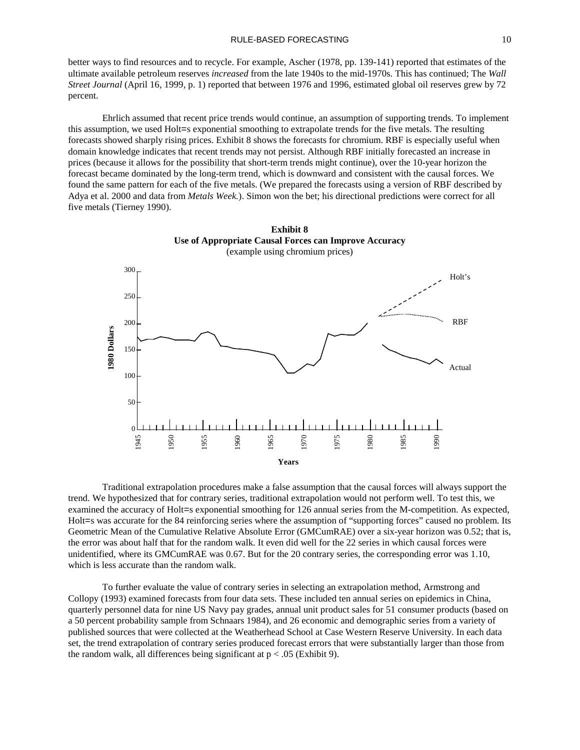better ways to find resources and to recycle. For example, Ascher (1978, pp. 139-141) reported that estimates of the ultimate available petroleum reserves *increased* from the late 1940s to the mid-1970s. This has continued; The *Wall Street Journal* (April 16, 1999, p. 1) reported that between 1976 and 1996, estimated global oil reserves grew by 72 percent.

Ehrlich assumed that recent price trends would continue, an assumption of supporting trends. To implement this assumption, we used Holt=s exponential smoothing to extrapolate trends for the five metals. The resulting forecasts showed sharply rising prices. Exhibit 8 shows the forecasts for chromium. RBF is especially useful when domain knowledge indicates that recent trends may not persist. Although RBF initially forecasted an increase in prices (because it allows for the possibility that short-term trends might continue), over the 10-year horizon the forecast became dominated by the long-term trend, which is downward and consistent with the causal forces. We found the same pattern for each of the five metals. (We prepared the forecasts using a version of RBF described by Adya et al. 2000 and data from *Metals Week.*). Simon won the bet; his directional predictions were correct for all five metals (Tierney 1990).



Traditional extrapolation procedures make a false assumption that the causal forces will always support the trend. We hypothesized that for contrary series, traditional extrapolation would not perform well. To test this, we examined the accuracy of Holt=s exponential smoothing for 126 annual series from the M-competition. As expected, Holt=s was accurate for the 84 reinforcing series where the assumption of "supporting forces" caused no problem. Its Geometric Mean of the Cumulative Relative Absolute Error (GMCumRAE) over a six-year horizon was 0.52; that is, the error was about half that for the random walk. It even did well for the 22 series in which causal forces were unidentified, where its GMCumRAE was 0.67. But for the 20 contrary series, the corresponding error was 1.10, which is less accurate than the random walk.

To further evaluate the value of contrary series in selecting an extrapolation method, Armstrong and Collopy (1993) examined forecasts from four data sets. These included ten annual series on epidemics in China, quarterly personnel data for nine US Navy pay grades, annual unit product sales for 51 consumer products (based on a 50 percent probability sample from Schnaars 1984), and 26 economic and demographic series from a variety of published sources that were collected at the Weatherhead School at Case Western Reserve University. In each data set, the trend extrapolation of contrary series produced forecast errors that were substantially larger than those from the random walk, all differences being significant at  $p < .05$  (Exhibit 9).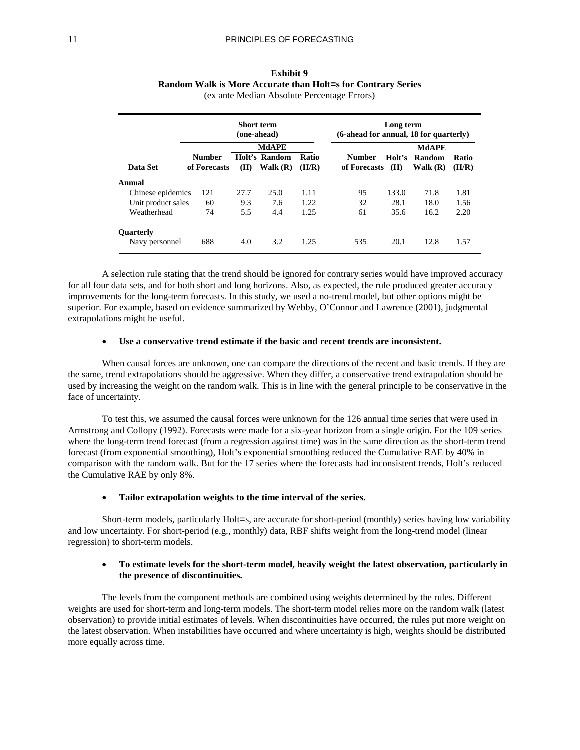|                    |               | <b>Short term</b><br>(one-ahead) |               | Long term<br>(6-ahead for annual, 18 for quarterly) |               |        |            |              |
|--------------------|---------------|----------------------------------|---------------|-----------------------------------------------------|---------------|--------|------------|--------------|
|                    |               | <b>MdAPE</b>                     |               |                                                     | <b>MdAPE</b>  |        |            |              |
|                    | <b>Number</b> |                                  | Holt's Random | <b>Ratio</b>                                        | <b>Number</b> | Holt's | Random     | <b>Ratio</b> |
| Data Set           | of Forecasts  | (H)                              | Walk $(R)$    | (H/R)                                               | of Forecasts  | (H)    | Walk $(R)$ | (H/R)        |
| Annual             |               |                                  |               |                                                     |               |        |            |              |
| Chinese epidemics  | 121           | 27.7                             | 25.0          | 1.11                                                | 95            | 133.0  | 71.8       | 1.81         |
| Unit product sales | 60            | 9.3                              | 7.6           | 1.22                                                | 32            | 28.1   | 18.0       | 1.56         |
| Weatherhead        | 74            | 5.5                              | 4.4           | 1.25                                                | 61            | 35.6   | 16.2       | 2.20         |
| <b>Ouarterly</b>   |               |                                  |               |                                                     |               |        |            |              |
| Navy personnel     | 688           | 4.0                              | 3.2           | 1.25                                                | 535           | 20.1   | 12.8       | 1.57         |

| <b>Exhibit 9</b>                                                      |
|-----------------------------------------------------------------------|
| <b>Random Walk is More Accurate than Holt = s for Contrary Series</b> |
| (ex ante Median Absolute Percentage Errors)                           |

A selection rule stating that the trend should be ignored for contrary series would have improved accuracy for all four data sets, and for both short and long horizons. Also, as expected, the rule produced greater accuracy improvements for the long-term forecasts. In this study, we used a no-trend model, but other options might be superior. For example, based on evidence summarized by Webby, O'Connor and Lawrence (2001), judgmental extrapolations might be useful.

## • **Use a conservative trend estimate if the basic and recent trends are inconsistent.**

When causal forces are unknown, one can compare the directions of the recent and basic trends. If they are the same, trend extrapolations should be aggressive. When they differ, a conservative trend extrapolation should be used by increasing the weight on the random walk. This is in line with the general principle to be conservative in the face of uncertainty.

To test this, we assumed the causal forces were unknown for the 126 annual time series that were used in Armstrong and Collopy (1992). Forecasts were made for a six-year horizon from a single origin. For the 109 series where the long-term trend forecast (from a regression against time) was in the same direction as the short-term trend forecast (from exponential smoothing), Holt's exponential smoothing reduced the Cumulative RAE by 40% in comparison with the random walk. But for the 17 series where the forecasts had inconsistent trends, Holt's reduced the Cumulative RAE by only 8%.

## • **Tailor extrapolation weights to the time interval of the series.**

Short-term models, particularly Holt=s, are accurate for short-period (monthly) series having low variability and low uncertainty. For short-period (e.g., monthly) data, RBF shifts weight from the long-trend model (linear regression) to short-term models.

## • **To estimate levels for the short-term model, heavily weight the latest observation, particularly in the presence of discontinuities.**

The levels from the component methods are combined using weights determined by the rules. Different weights are used for short-term and long-term models. The short-term model relies more on the random walk (latest observation) to provide initial estimates of levels. When discontinuities have occurred, the rules put more weight on the latest observation. When instabilities have occurred and where uncertainty is high, weights should be distributed more equally across time.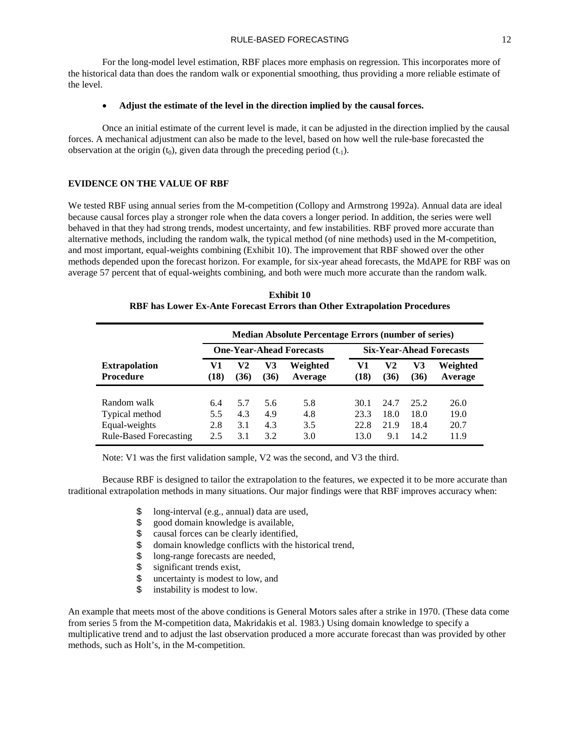For the long-model level estimation, RBF places more emphasis on regression. This incorporates more of the historical data than does the random walk or exponential smoothing, thus providing a more reliable estimate of the level.

## • **Adjust the estimate of the level in the direction implied by the causal forces.**

Once an initial estimate of the current level is made, it can be adjusted in the direction implied by the causal forces. A mechanical adjustment can also be made to the level, based on how well the rule-base forecasted the observation at the origin  $(t_0)$ , given data through the preceding period  $(t_1)$ .

## **EVIDENCE ON THE VALUE OF RBF**

We tested RBF using annual series from the M-competition (Collopy and Armstrong 1992a). Annual data are ideal because causal forces play a stronger role when the data covers a longer period. In addition, the series were well behaved in that they had strong trends, modest uncertainty, and few instabilities. RBF proved more accurate than alternative methods, including the random walk, the typical method (of nine methods) used in the M-competition, and most important, equal-weights combining (Exhibit 10). The improvement that RBF showed over the other methods depended upon the forecast horizon. For example, for six-year ahead forecasts, the MdAPE for RBF was on average 57 percent that of equal-weights combining, and both were much more accurate than the random walk.

|                                                                           | <b>Exhibit 10</b> |  |
|---------------------------------------------------------------------------|-------------------|--|
| RBF has Lower Ex-Ante Forecast Errors than Other Extrapolation Procedures |                   |  |

|                        | <b>Median Absolute Percentage Errors (number of series)</b> |      |      |                                 |      |      |      |          |  |
|------------------------|-------------------------------------------------------------|------|------|---------------------------------|------|------|------|----------|--|
|                        | <b>One-Year-Ahead Forecasts</b>                             |      |      | <b>Six-Year-Ahead Forecasts</b> |      |      |      |          |  |
| <b>Extrapolation</b>   | V1                                                          | V2   | V3   | Weighted                        | V1   | V2   | V3   | Weighted |  |
| <b>Procedure</b>       | (18)                                                        | (36) | (36) | Average                         | (18) | (36) | (36) | Average  |  |
| Random walk            | 6.4                                                         | 5.7  | 5.6  | 5.8                             | 30.1 | 24.7 | 25.2 | 26.0     |  |
| Typical method         | 5.5                                                         | 4.3  | 4.9  | 4.8                             | 23.3 | 18.0 | 18.0 | 19.0     |  |
| Equal-weights          | 2.8                                                         | 3.1  | 4.3  | 3.5                             | 22.8 | 21.9 | 18.4 | 20.7     |  |
| Rule-Based Forecasting | 2.5                                                         | 3.1  | 3.2  | 3.0                             | 13.0 | 9.1  | 14.2 | 11.9     |  |

Note: V1 was the first validation sample, V2 was the second, and V3 the third.

Because RBF is designed to tailor the extrapolation to the features, we expected it to be more accurate than traditional extrapolation methods in many situations. Our major findings were that RBF improves accuracy when:

- $\frac{1}{5}$  long-interval (e.g., annual) data are used,<br>  $\frac{1}{5}$  good domain knowledge is available.
- \$ good domain knowledge is available,<br>\$ causal forces can be clearly identified.
- $\frac{1}{5}$  causal forces can be clearly identified,<br> $\frac{1}{5}$  domain knowledge conflicts with the h
- \$ domain knowledge conflicts with the historical trend,<br>\$ long-range forecasts are needed,
- $\frac{1}{5}$  long-range forecasts are needed,<br> $\frac{1}{5}$  significant trends exist,
- 
- $\frac{1}{5}$  significant trends exist,<br> $\frac{1}{5}$  uncertainty is modest to  $\frac{1}{5}$  uncertainty is modest to low, and<br> $\frac{1}{5}$  instability is modest to low.
- instability is modest to low.

An example that meets most of the above conditions is General Motors sales after a strike in 1970. (These data come from series 5 from the M-competition data, Makridakis et al. 1983.) Using domain knowledge to specify a multiplicative trend and to adjust the last observation produced a more accurate forecast than was provided by other methods, such as Holt's, in the M-competition.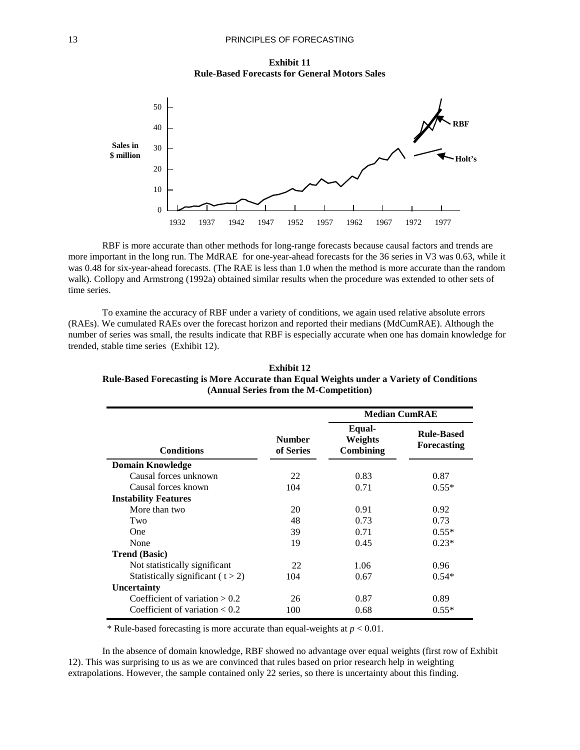**Exhibit 11 Rule-Based Forecasts for General Motors Sales**



RBF is more accurate than other methods for long-range forecasts because causal factors and trends are more important in the long run. The MdRAE for one-year-ahead forecasts for the 36 series in V3 was 0.63, while it was 0.48 for six-year-ahead forecasts. (The RAE is less than 1.0 when the method is more accurate than the random walk). Collopy and Armstrong (1992a) obtained similar results when the procedure was extended to other sets of time series.

To examine the accuracy of RBF under a variety of conditions, we again used relative absolute errors (RAEs). We cumulated RAEs over the forecast horizon and reported their medians (MdCumRAE). Although the number of series was small, the results indicate that RBF is especially accurate when one has domain knowledge for trended, stable time series (Exhibit 12).

|                                       |                            | <b>Median CumRAE</b>           |                                  |  |  |
|---------------------------------------|----------------------------|--------------------------------|----------------------------------|--|--|
| <b>Conditions</b>                     | <b>Number</b><br>of Series | Equal-<br>Weights<br>Combining | <b>Rule-Based</b><br>Forecasting |  |  |
| <b>Domain Knowledge</b>               |                            |                                |                                  |  |  |
| Causal forces unknown                 | 22                         | 0.83                           | 0.87                             |  |  |
| Causal forces known                   | 104                        | 0.71                           | $0.55*$                          |  |  |
| <b>Instability Features</b>           |                            |                                |                                  |  |  |
| More than two                         | 20                         | 0.91                           | 0.92                             |  |  |
| Two                                   | 48                         | 0.73                           | 0.73                             |  |  |
| One                                   | 39                         | 0.71                           | $0.55*$                          |  |  |
| None                                  | 19                         | 0.45                           | $0.23*$                          |  |  |
| <b>Trend (Basic)</b>                  |                            |                                |                                  |  |  |
| Not statistically significant         | 22                         | 1.06                           | 0.96                             |  |  |
| Statistically significant ( $t > 2$ ) | 104                        | 0.67                           | $0.54*$                          |  |  |
| Uncertainty                           |                            |                                |                                  |  |  |
| Coefficient of variation $> 0.2$      | 26                         | 0.87                           | 0.89                             |  |  |
| Coefficient of variation $< 0.2$      | 100                        | 0.68                           | $0.55*$                          |  |  |

**Exhibit 12 Rule-Based Forecasting is More Accurate than Equal Weights under a Variety of Conditions (Annual Series from the M-Competition)**

\* Rule-based forecasting is more accurate than equal-weights at  $p < 0.01$ .

In the absence of domain knowledge, RBF showed no advantage over equal weights (first row of Exhibit 12). This was surprising to us as we are convinced that rules based on prior research help in weighting extrapolations. However, the sample contained only 22 series, so there is uncertainty about this finding.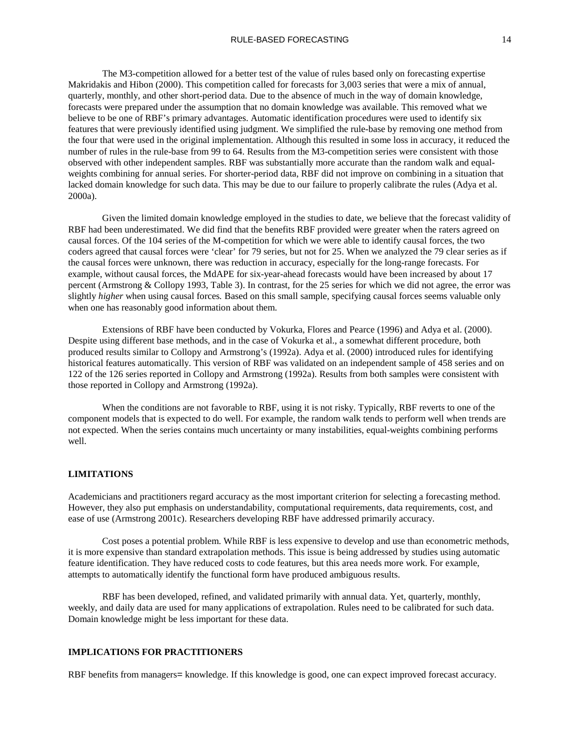#### RULE-BASED FORECASTING 14

The M3-competition allowed for a better test of the value of rules based only on forecasting expertise Makridakis and Hibon (2000). This competition called for forecasts for 3,003 series that were a mix of annual, quarterly, monthly, and other short-period data. Due to the absence of much in the way of domain knowledge, forecasts were prepared under the assumption that no domain knowledge was available. This removed what we believe to be one of RBF's primary advantages. Automatic identification procedures were used to identify six features that were previously identified using judgment. We simplified the rule-base by removing one method from the four that were used in the original implementation. Although this resulted in some loss in accuracy, it reduced the number of rules in the rule-base from 99 to 64. Results from the M3-competition series were consistent with those observed with other independent samples. RBF was substantially more accurate than the random walk and equalweights combining for annual series. For shorter-period data, RBF did not improve on combining in a situation that lacked domain knowledge for such data. This may be due to our failure to properly calibrate the rules (Adya et al. 2000a).

Given the limited domain knowledge employed in the studies to date, we believe that the forecast validity of RBF had been underestimated. We did find that the benefits RBF provided were greater when the raters agreed on causal forces. Of the 104 series of the M-competition for which we were able to identify causal forces, the two coders agreed that causal forces were 'clear' for 79 series, but not for 25. When we analyzed the 79 clear series as if the causal forces were unknown, there was reduction in accuracy, especially for the long-range forecasts. For example, without causal forces, the MdAPE for six-year-ahead forecasts would have been increased by about 17 percent (Armstrong & Collopy 1993, Table 3). In contrast, for the 25 series for which we did not agree, the error was slightly *higher* when using causal forces*.* Based on this small sample, specifying causal forces seems valuable only when one has reasonably good information about them.

Extensions of RBF have been conducted by Vokurka, Flores and Pearce (1996) and Adya et al. (2000). Despite using different base methods, and in the case of Vokurka et al., a somewhat different procedure, both produced results similar to Collopy and Armstrong's (1992a). Adya et al. (2000) introduced rules for identifying historical features automatically. This version of RBF was validated on an independent sample of 458 series and on 122 of the 126 series reported in Collopy and Armstrong (1992a). Results from both samples were consistent with those reported in Collopy and Armstrong (1992a).

When the conditions are not favorable to RBF, using it is not risky. Typically, RBF reverts to one of the component models that is expected to do well. For example, the random walk tends to perform well when trends are not expected. When the series contains much uncertainty or many instabilities, equal-weights combining performs well.

## **LIMITATIONS**

Academicians and practitioners regard accuracy as the most important criterion for selecting a forecasting method. However, they also put emphasis on understandability, computational requirements, data requirements, cost, and ease of use (Armstrong 2001c). Researchers developing RBF have addressed primarily accuracy.

Cost poses a potential problem. While RBF is less expensive to develop and use than econometric methods, it is more expensive than standard extrapolation methods. This issue is being addressed by studies using automatic feature identification. They have reduced costs to code features, but this area needs more work. For example, attempts to automatically identify the functional form have produced ambiguous results.

RBF has been developed, refined, and validated primarily with annual data. Yet, quarterly, monthly, weekly, and daily data are used for many applications of extrapolation. Rules need to be calibrated for such data. Domain knowledge might be less important for these data.

## **IMPLICATIONS FOR PRACTITIONERS**

RBF benefits from managers= knowledge. If this knowledge is good, one can expect improved forecast accuracy.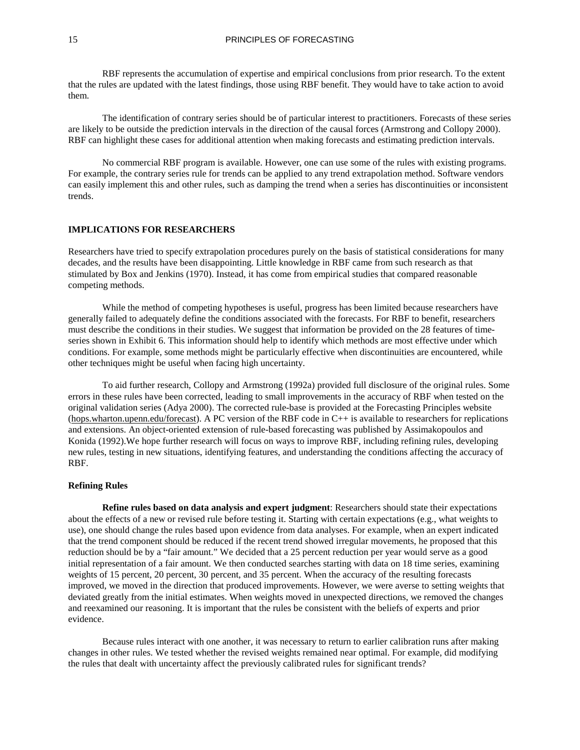RBF represents the accumulation of expertise and empirical conclusions from prior research. To the extent that the rules are updated with the latest findings, those using RBF benefit. They would have to take action to avoid them.

The identification of contrary series should be of particular interest to practitioners. Forecasts of these series are likely to be outside the prediction intervals in the direction of the causal forces (Armstrong and Collopy 2000). RBF can highlight these cases for additional attention when making forecasts and estimating prediction intervals.

No commercial RBF program is available. However, one can use some of the rules with existing programs. For example, the contrary series rule for trends can be applied to any trend extrapolation method. Software vendors can easily implement this and other rules, such as damping the trend when a series has discontinuities or inconsistent trends.

## **IMPLICATIONS FOR RESEARCHERS**

Researchers have tried to specify extrapolation procedures purely on the basis of statistical considerations for many decades, and the results have been disappointing. Little knowledge in RBF came from such research as that stimulated by Box and Jenkins (1970). Instead, it has come from empirical studies that compared reasonable competing methods.

While the method of competing hypotheses is useful, progress has been limited because researchers have generally failed to adequately define the conditions associated with the forecasts. For RBF to benefit, researchers must describe the conditions in their studies. We suggest that information be provided on the 28 features of timeseries shown in Exhibit 6. This information should help to identify which methods are most effective under which conditions. For example, some methods might be particularly effective when discontinuities are encountered, while other techniques might be useful when facing high uncertainty.

To aid further research, Collopy and Armstrong (1992a) provided full disclosure of the original rules. Some errors in these rules have been corrected, leading to small improvements in the accuracy of RBF when tested on the original validation series (Adya 2000). The corrected rule-base is provided at the Forecasting Principles website (hops.wharton.upenn.edu/forecast). A PC version of the RBF code in C++ is available to researchers for replications and extensions. An object-oriented extension of rule-based forecasting was published by Assimakopoulos and Konida (1992).We hope further research will focus on ways to improve RBF, including refining rules, developing new rules, testing in new situations, identifying features, and understanding the conditions affecting the accuracy of RBF.

## **Refining Rules**

**Refine rules based on data analysis and expert judgment**: Researchers should state their expectations about the effects of a new or revised rule before testing it. Starting with certain expectations (e.g., what weights to use), one should change the rules based upon evidence from data analyses. For example, when an expert indicated that the trend component should be reduced if the recent trend showed irregular movements, he proposed that this reduction should be by a "fair amount." We decided that a 25 percent reduction per year would serve as a good initial representation of a fair amount. We then conducted searches starting with data on 18 time series, examining weights of 15 percent, 20 percent, 30 percent, and 35 percent. When the accuracy of the resulting forecasts improved, we moved in the direction that produced improvements. However, we were averse to setting weights that deviated greatly from the initial estimates. When weights moved in unexpected directions, we removed the changes and reexamined our reasoning. It is important that the rules be consistent with the beliefs of experts and prior evidence.

Because rules interact with one another, it was necessary to return to earlier calibration runs after making changes in other rules. We tested whether the revised weights remained near optimal. For example, did modifying the rules that dealt with uncertainty affect the previously calibrated rules for significant trends?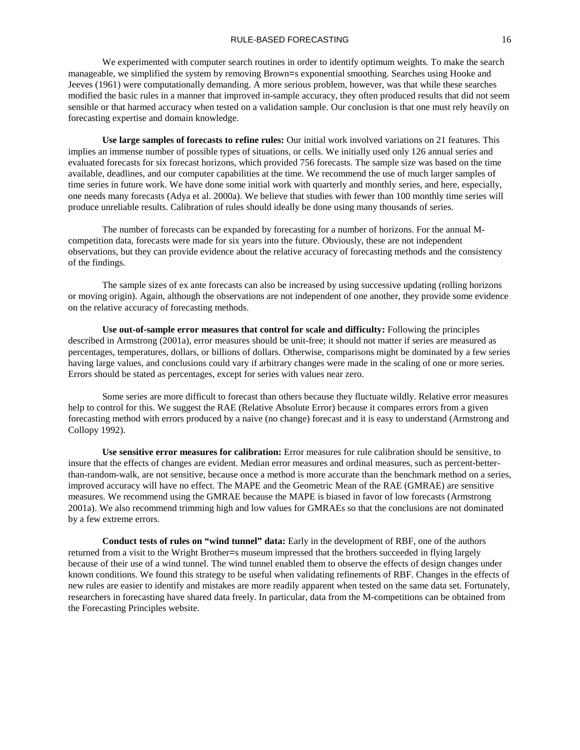#### RULE-BASED FORECASTING 16

We experimented with computer search routines in order to identify optimum weights. To make the search manageable, we simplified the system by removing Brown=s exponential smoothing. Searches using Hooke and Jeeves (1961) were computationally demanding. A more serious problem, however, was that while these searches modified the basic rules in a manner that improved in-sample accuracy, they often produced results that did not seem sensible or that harmed accuracy when tested on a validation sample. Our conclusion is that one must rely heavily on forecasting expertise and domain knowledge.

**Use large samples of forecasts to refine rules:** Our initial work involved variations on 21 features. This implies an immense number of possible types of situations, or cells. We initially used only 126 annual series and evaluated forecasts for six forecast horizons, which provided 756 forecasts. The sample size was based on the time available, deadlines, and our computer capabilities at the time. We recommend the use of much larger samples of time series in future work. We have done some initial work with quarterly and monthly series, and here, especially, one needs many forecasts (Adya et al. 2000a). We believe that studies with fewer than 100 monthly time series will produce unreliable results. Calibration of rules should ideally be done using many thousands of series.

The number of forecasts can be expanded by forecasting for a number of horizons. For the annual Mcompetition data, forecasts were made for six years into the future. Obviously, these are not independent observations, but they can provide evidence about the relative accuracy of forecasting methods and the consistency of the findings.

The sample sizes of ex ante forecasts can also be increased by using successive updating (rolling horizons or moving origin). Again, although the observations are not independent of one another, they provide some evidence on the relative accuracy of forecasting methods.

**Use out-of-sample error measures that control for scale and difficulty:** Following the principles described in Armstrong (2001a), error measures should be unit-free; it should not matter if series are measured as percentages, temperatures, dollars, or billions of dollars. Otherwise, comparisons might be dominated by a few series having large values, and conclusions could vary if arbitrary changes were made in the scaling of one or more series. Errors should be stated as percentages, except for series with values near zero.

Some series are more difficult to forecast than others because they fluctuate wildly. Relative error measures help to control for this. We suggest the RAE (Relative Absolute Error) because it compares errors from a given forecasting method with errors produced by a naive (no change) forecast and it is easy to understand (Armstrong and Collopy 1992).

**Use sensitive error measures for calibration:** Error measures for rule calibration should be sensitive, to insure that the effects of changes are evident. Median error measures and ordinal measures, such as percent-betterthan-random-walk, are not sensitive, because once a method is more accurate than the benchmark method on a series, improved accuracy will have no effect. The MAPE and the Geometric Mean of the RAE (GMRAE) are sensitive measures. We recommend using the GMRAE because the MAPE is biased in favor of low forecasts (Armstrong 2001a). We also recommend trimming high and low values for GMRAEs so that the conclusions are not dominated by a few extreme errors.

**Conduct tests of rules on "wind tunnel" data:** Early in the development of RBF, one of the authors returned from a visit to the Wright Brother=s museum impressed that the brothers succeeded in flying largely because of their use of a wind tunnel. The wind tunnel enabled them to observe the effects of design changes under known conditions. We found this strategy to be useful when validating refinements of RBF. Changes in the effects of new rules are easier to identify and mistakes are more readily apparent when tested on the same data set. Fortunately, researchers in forecasting have shared data freely. In particular, data from the M-competitions can be obtained from the Forecasting Principles website.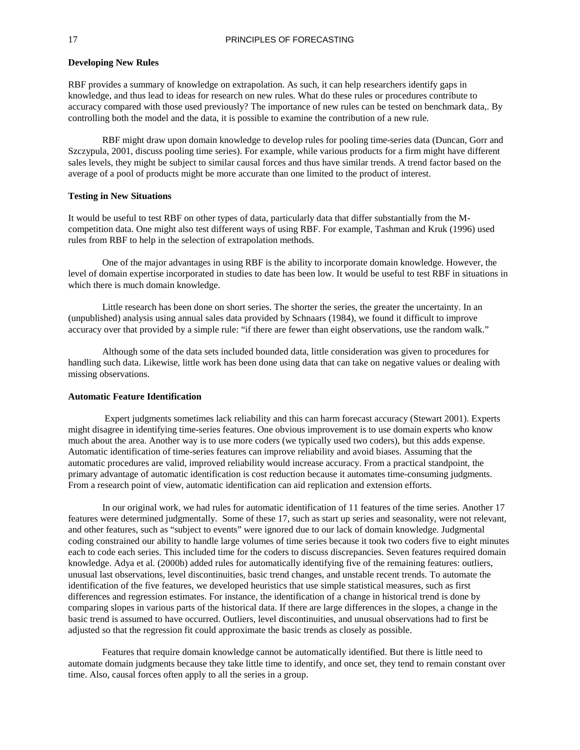## **Developing New Rules**

RBF provides a summary of knowledge on extrapolation. As such, it can help researchers identify gaps in knowledge, and thus lead to ideas for research on new rules. What do these rules or procedures contribute to accuracy compared with those used previously? The importance of new rules can be tested on benchmark data,. By controlling both the model and the data, it is possible to examine the contribution of a new rule.

RBF might draw upon domain knowledge to develop rules for pooling time-series data (Duncan, Gorr and Szczypula, 2001, discuss pooling time series). For example, while various products for a firm might have different sales levels, they might be subject to similar causal forces and thus have similar trends. A trend factor based on the average of a pool of products might be more accurate than one limited to the product of interest.

## **Testing in New Situations**

It would be useful to test RBF on other types of data, particularly data that differ substantially from the Mcompetition data. One might also test different ways of using RBF. For example, Tashman and Kruk (1996) used rules from RBF to help in the selection of extrapolation methods.

One of the major advantages in using RBF is the ability to incorporate domain knowledge. However, the level of domain expertise incorporated in studies to date has been low. It would be useful to test RBF in situations in which there is much domain knowledge.

Little research has been done on short series. The shorter the series, the greater the uncertainty. In an (unpublished) analysis using annual sales data provided by Schnaars (1984), we found it difficult to improve accuracy over that provided by a simple rule: "if there are fewer than eight observations, use the random walk."

Although some of the data sets included bounded data, little consideration was given to procedures for handling such data. Likewise, little work has been done using data that can take on negative values or dealing with missing observations.

## **Automatic Feature Identification**

Expert judgments sometimes lack reliability and this can harm forecast accuracy (Stewart 2001). Experts might disagree in identifying time-series features. One obvious improvement is to use domain experts who know much about the area. Another way is to use more coders (we typically used two coders), but this adds expense. Automatic identification of time-series features can improve reliability and avoid biases. Assuming that the automatic procedures are valid, improved reliability would increase accuracy. From a practical standpoint, the primary advantage of automatic identification is cost reduction because it automates time-consuming judgments. From a research point of view, automatic identification can aid replication and extension efforts.

In our original work, we had rules for automatic identification of 11 features of the time series. Another 17 features were determined judgmentally. Some of these 17, such as start up series and seasonality, were not relevant, and other features, such as "subject to events" were ignored due to our lack of domain knowledge. Judgmental coding constrained our ability to handle large volumes of time series because it took two coders five to eight minutes each to code each series. This included time for the coders to discuss discrepancies. Seven features required domain knowledge. Adya et al. (2000b) added rules for automatically identifying five of the remaining features: outliers, unusual last observations, level discontinuities, basic trend changes, and unstable recent trends. To automate the identification of the five features, we developed heuristics that use simple statistical measures, such as first differences and regression estimates. For instance, the identification of a change in historical trend is done by comparing slopes in various parts of the historical data. If there are large differences in the slopes, a change in the basic trend is assumed to have occurred. Outliers, level discontinuities, and unusual observations had to first be adjusted so that the regression fit could approximate the basic trends as closely as possible.

Features that require domain knowledge cannot be automatically identified. But there is little need to automate domain judgments because they take little time to identify, and once set, they tend to remain constant over time. Also, causal forces often apply to all the series in a group.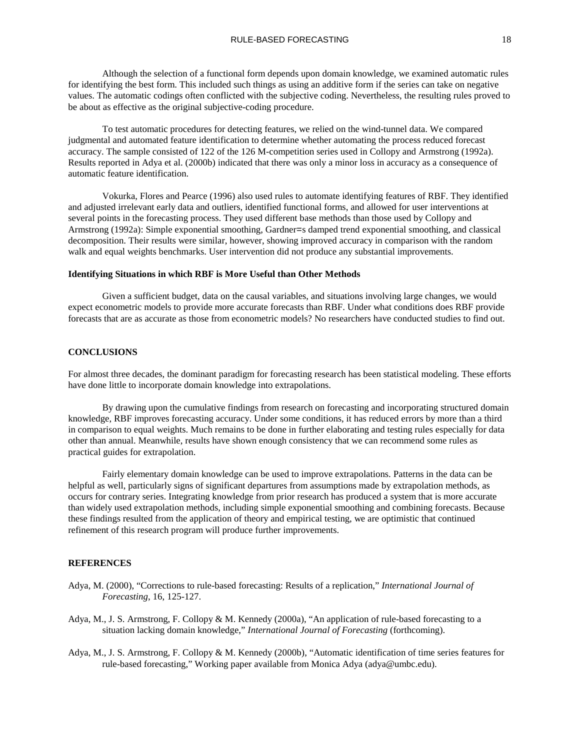Although the selection of a functional form depends upon domain knowledge, we examined automatic rules for identifying the best form. This included such things as using an additive form if the series can take on negative values. The automatic codings often conflicted with the subjective coding. Nevertheless, the resulting rules proved to be about as effective as the original subjective-coding procedure.

To test automatic procedures for detecting features, we relied on the wind-tunnel data. We compared judgmental and automated feature identification to determine whether automating the process reduced forecast accuracy. The sample consisted of 122 of the 126 M-competition series used in Collopy and Armstrong (1992a). Results reported in Adya et al. (2000b) indicated that there was only a minor loss in accuracy as a consequence of automatic feature identification.

Vokurka, Flores and Pearce (1996) also used rules to automate identifying features of RBF. They identified and adjusted irrelevant early data and outliers, identified functional forms, and allowed for user interventions at several points in the forecasting process. They used different base methods than those used by Collopy and Armstrong (1992a): Simple exponential smoothing, Gardner=s damped trend exponential smoothing, and classical decomposition. Their results were similar, however, showing improved accuracy in comparison with the random walk and equal weights benchmarks. User intervention did not produce any substantial improvements.

## **Identifying Situations in which RBF is More Useful than Other Methods**

Given a sufficient budget, data on the causal variables, and situations involving large changes, we would expect econometric models to provide more accurate forecasts than RBF. Under what conditions does RBF provide forecasts that are as accurate as those from econometric models? No researchers have conducted studies to find out.

## **CONCLUSIONS**

For almost three decades, the dominant paradigm for forecasting research has been statistical modeling. These efforts have done little to incorporate domain knowledge into extrapolations.

By drawing upon the cumulative findings from research on forecasting and incorporating structured domain knowledge, RBF improves forecasting accuracy. Under some conditions, it has reduced errors by more than a third in comparison to equal weights. Much remains to be done in further elaborating and testing rules especially for data other than annual. Meanwhile, results have shown enough consistency that we can recommend some rules as practical guides for extrapolation.

Fairly elementary domain knowledge can be used to improve extrapolations. Patterns in the data can be helpful as well, particularly signs of significant departures from assumptions made by extrapolation methods, as occurs for contrary series. Integrating knowledge from prior research has produced a system that is more accurate than widely used extrapolation methods, including simple exponential smoothing and combining forecasts. Because these findings resulted from the application of theory and empirical testing, we are optimistic that continued refinement of this research program will produce further improvements.

## **REFERENCES**

- Adya, M. (2000), "Corrections to rule-based forecasting: Results of a replication," *International Journal of Forecasting*, 16, 125-127.
- Adya, M., J. S. Armstrong, F. Collopy & M. Kennedy (2000a), "An application of rule-based forecasting to a situation lacking domain knowledge," *International Journal of Forecasting* (forthcoming).
- Adya, M., J. S. Armstrong, F. Collopy & M. Kennedy (2000b), "Automatic identification of time series features for rule-based forecasting," Working paper available from Monica Adya (adya@umbc.edu).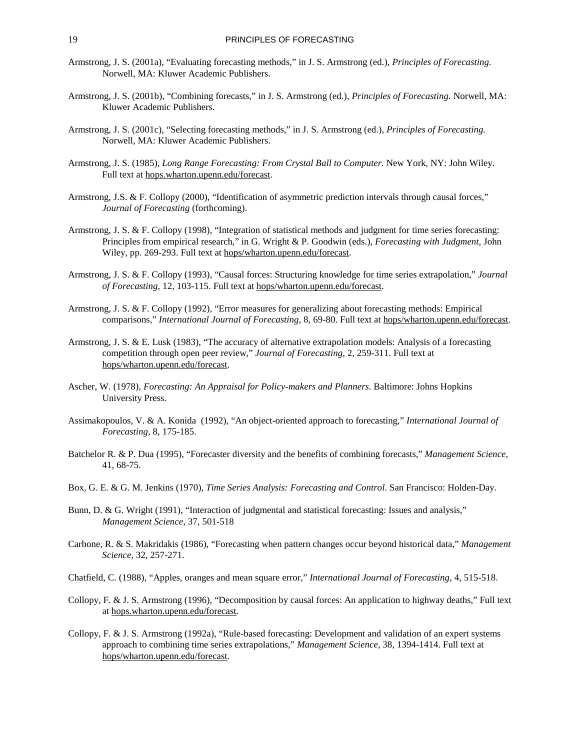- Armstrong, J. S. (2001a), "Evaluating forecasting methods," in J. S. Armstrong (ed.), *Principles of Forecasting.*  Norwell, MA: Kluwer Academic Publishers.
- Armstrong, J. S. (2001b), "Combining forecasts," in J. S. Armstrong (ed.), *Principles of Forecasting.* Norwell, MA: Kluwer Academic Publishers.
- Armstrong, J. S. (2001c), "Selecting forecasting methods," in J. S. Armstrong (ed.), *Principles of Forecasting.*  Norwell, MA: Kluwer Academic Publishers.
- Armstrong, J. S. (1985), *Long Range Forecasting: From Crystal Ball to Computer.* New York, NY: John Wiley. Full text at **hops.wharton.upenn.edu/forecast**.
- Armstrong, J.S. & F. Collopy (2000), "Identification of asymmetric prediction intervals through causal forces," *Journal of Forecasting* (forthcoming).
- Armstrong, J. S. & F. Collopy (1998), "Integration of statistical methods and judgment for time series forecasting: Principles from empirical research," in G. Wright & P. Goodwin (eds.), *Forecasting with Judgment*, John Wiley, pp. 269-293. Full text at hops/wharton.upenn.edu/forecast.
- Armstrong, J. S. & F. Collopy (1993), "Causal forces: Structuring knowledge for time series extrapolation," *Journal*  of Forecasting, 12, 103-115. Full text at hops/wharton.upenn.edu/forecast.
- Armstrong, J. S. & F. Collopy (1992), "Error measures for generalizing about forecasting methods: Empirical comparisons," *International Journal of Forecasting*, 8, 69-80. Full text at hops/wharton.upenn.edu/forecast.
- Armstrong, J. S. & E. Lusk (1983), "The accuracy of alternative extrapolation models: Analysis of a forecasting competition through open peer review," *Journal of Forecasting*, 2, 259-311. Full text at hops/wharton.upenn.edu/forecast .
- Ascher, W. (1978), *Forecasting: An Appraisal for Policy-makers and Planners.* Baltimore: Johns Hopkins University Press.
- Assimakopoulos, V. & A. Konida (1992), "An object-oriented approach to forecasting," *International Journal of Forecasting,* 8, 175-185.
- Batchelor R. & P. Dua (1995), "Forecaster diversity and the benefits of combining forecasts," *Management Science*, 41, 68-75.
- Box, G. E. & G. M. Jenkins (1970), *Time Series Analysis: Forecasting and Control*. San Francisco: Holden-Day.
- Bunn, D. & G. Wright (1991), "Interaction of judgmental and statistical forecasting: Issues and analysis," *Management Science*, 37, 501-518
- Carbone, R. & S. Makridakis (1986), "Forecasting when pattern changes occur beyond historical data," *Management Science*, 32, 257-271.
- Chatfield, C. (1988), "Apples, oranges and mean square error," *International Journal of Forecasting*, 4, 515-518.
- Collopy, F. & J. S. Armstrong (1996), "Decomposition by causal forces: An application to highway deaths," Full text at hops.wharton.upenn.edu/forecast.
- Collopy, F. & J. S. Armstrong (1992a), "Rule-based forecasting: Development and validation of an expert systems approach to combining time series extrapolations," *Management Science,* 38, 1394-1414. Full text at hops/wharton.upenn.edu/forecast.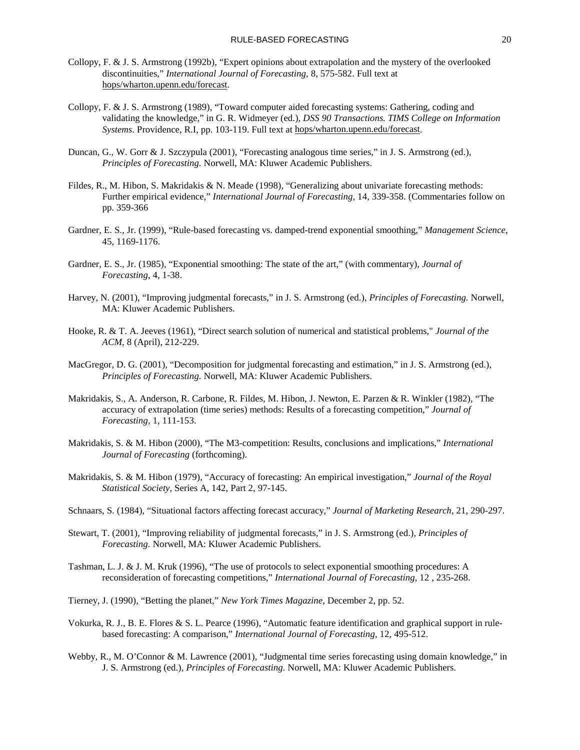- Collopy, F. & J. S. Armstrong (1992b), "Expert opinions about extrapolation and the mystery of the overlooked discontinuities," *International Journal of Forecasting,* 8, 575-582. Full text at hops/wharton.upenn.edu/forecast .
- Collopy, F. & J. S. Armstrong (1989), "Toward computer aided forecasting systems: Gathering, coding and validating the knowledge," in G. R. Widmeyer (ed.), *DSS 90 Transactions. TIMS College on Information*  Systems. Providence, R.I, pp. 103-119. Full text at **hops/wharton.upenn.edu/forecast**.
- Duncan, G., W. Gorr & J. Szczypula (2001), "Forecasting analogous time series," in J. S. Armstrong (ed.), *Principles of Forecasting.* Norwell, MA: Kluwer Academic Publishers.
- Fildes, R., M. Hibon, S. Makridakis & N. Meade (1998), "Generalizing about univariate forecasting methods: Further empirical evidence," *International Journal of Forecasting,* 14, 339-358. (Commentaries follow on pp. 359-366
- Gardner, E. S., Jr. (1999), "Rule-based forecasting vs. damped-trend exponential smoothing," *Management Science*, 45, 1169-1176.
- Gardner, E. S., Jr. (1985), "Exponential smoothing: The state of the art," (with commentary), *Journal of Forecasting*, 4, 1-38.
- Harvey, N. (2001), "Improving judgmental forecasts," in J. S. Armstrong (ed.), *Principles of Forecasting.* Norwell, MA: Kluwer Academic Publishers.
- Hooke, R. & T. A. Jeeves (1961), "Direct search solution of numerical and statistical problems," *Journal of the ACM*, 8 (April), 212-229.
- MacGregor, D. G. (2001), "Decomposition for judgmental forecasting and estimation," in J. S. Armstrong (ed.), *Principles of Forecasting.* Norwell, MA: Kluwer Academic Publishers.
- Makridakis, S., A. Anderson, R. Carbone, R. Fildes, M. Hibon, J. Newton, E. Parzen & R. Winkler (1982), "The accuracy of extrapolation (time series) methods: Results of a forecasting competition," *Journal of Forecasting*, 1, 111-153.
- Makridakis, S. & M. Hibon (2000), "The M3-competition: Results, conclusions and implications," *International Journal of Forecasting* (forthcoming).
- Makridakis, S. & M. Hibon (1979), "Accuracy of forecasting: An empirical investigation," *Journal of the Royal Statistical Society*, Series A, 142, Part 2, 97-145.
- Schnaars, S. (1984), "Situational factors affecting forecast accuracy," *Journal of Marketing Research*, 21, 290-297.
- Stewart, T. (2001), "Improving reliability of judgmental forecasts," in J. S. Armstrong (ed.), *Principles of Forecasting.* Norwell, MA: Kluwer Academic Publishers.
- Tashman, L. J. & J. M. Kruk (1996), "The use of protocols to select exponential smoothing procedures: A reconsideration of forecasting competitions," *International Journal of Forecasting*, 12 , 235-268.
- Tierney, J. (1990), "Betting the planet," *New York Times Magazine*, December 2, pp. 52.
- Vokurka, R. J., B. E. Flores & S. L. Pearce (1996), "Automatic feature identification and graphical support in rulebased forecasting: A comparison," *International Journal of Forecasting,* 12, 495-512.
- Webby, R., M. O'Connor & M. Lawrence (2001), "Judgmental time series forecasting using domain knowledge," in J. S. Armstrong (ed.), *Principles of Forecasting.* Norwell, MA: Kluwer Academic Publishers.